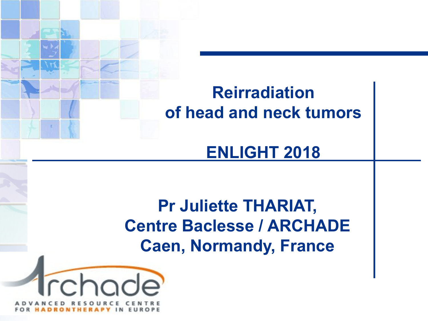### **Reirradiation of head and neck tumors**

#### **ENLIGHT 2018**

**Pr Juliette THARIAT, Centre Baclesse / ARCHADE Caen, Normandy, France**

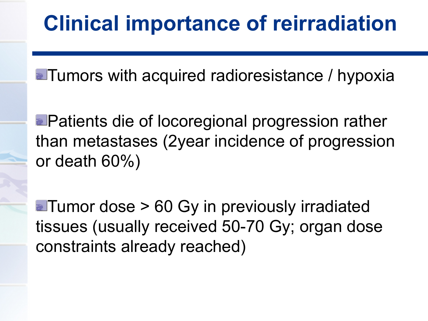**Tumors with acquired radioresistance / hypoxia** 

**Patients die of locoregional progression rather** than metastases (2year incidence of progression or death 60%)

**Tumor dose > 60 Gy in previously irradiated** tissues (usually received 50-70 Gy; organ dose constraints already reached)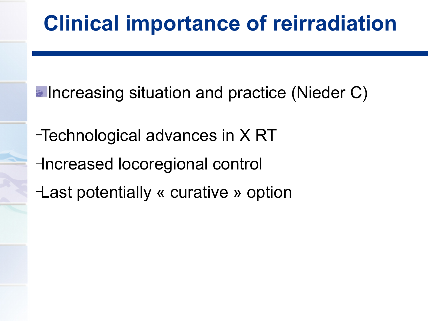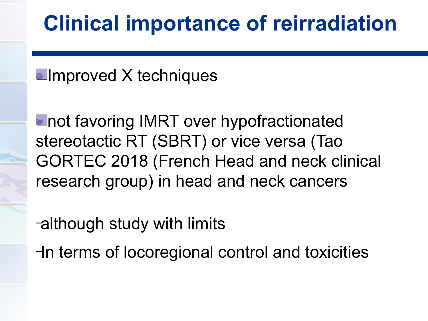**Elmproved X techniques** 

**alnot favoring IMRT over hypofractionated** stereotactic RT (SBRT) or vice versa (Tao GORTEC 2018 (French Head and neck clinical research group) in head and neck cancers

–although study with limits

–In terms of locoregional control and toxicities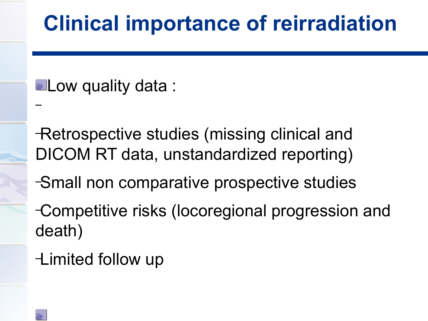**ELow quality data:** 

–Retrospective studies (missing clinical and DICOM RT data, unstandardized reporting)

–Small non comparative prospective studies

–Competitive risks (locoregional progression and death)

–Limited follow up

–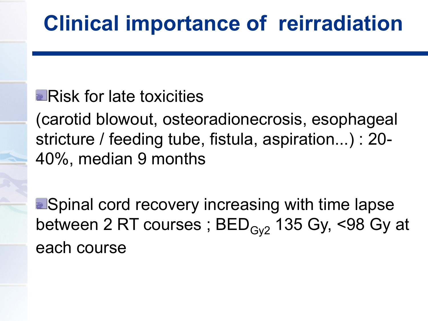#### **Risk for late toxicities**

(carotid blowout, osteoradionecrosis, esophageal stricture / feeding tube, fistula, aspiration...) : 20- 40%, median 9 months

**• Spinal cord recovery increasing with time lapse** between 2 RT courses;  $BED_{Gv2}$  135 Gy, <98 Gy at each course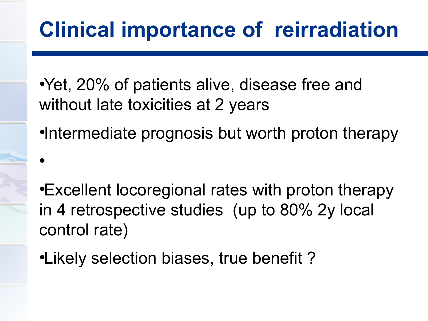- Yet, 20% of patients alive, disease free and without late toxicities at 2 years
- •Intermediate prognosis but worth proton therapy

- •Excellent locoregional rates with proton therapy in 4 retrospective studies (up to 80% 2y local control rate)
- •Likely selection biases, true benefit?

 $\bullet$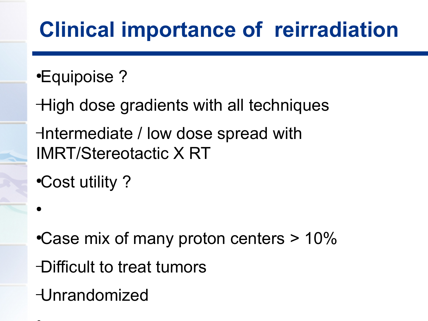- ●Equipoise ?
- –High dose gradients with all techniques –Intermediate / low dose spread with IMRT/Stereotactic X RT
- •Cost utility?

- •Case mix of many proton centers  $> 10\%$
- –Difficult to treat tumors
- –Unrandomized

 $\bullet$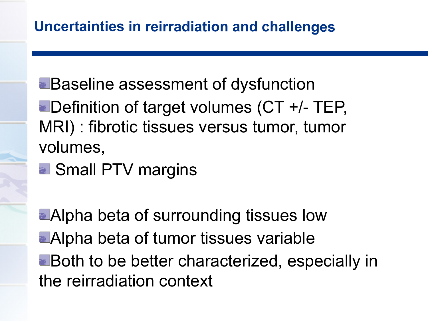#### **Uncertainties in reirradiation and challenges**

- **Baseline assessment of dysfunction Definition of target volumes (CT +/- TEP,** MRI) : fibrotic tissues versus tumor, tumor volumes,
- **B** Small PTV margins

**Alpha beta of surrounding tissues low Alpha beta of tumor tissues variable Both to be better characterized, especially in** the reirradiation context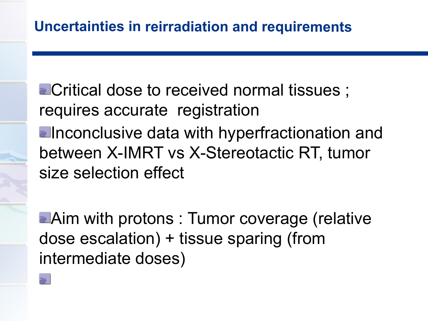**ECritical dose to received normal tissues**; requires accurate registration **Elnconclusive data with hyperfractionation and** between X-IMRT vs X-Stereotactic RT, tumor size selection effect

**Aim with protons : Tumor coverage (relative** dose escalation) + tissue sparing (from intermediate doses)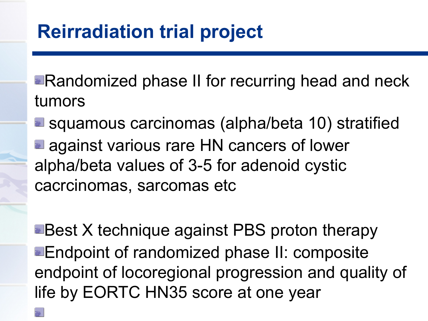**Randomized phase II for recurring head and neck** tumors

**E** squamous carcinomas (alpha/beta 10) stratified **a** against various rare HN cancers of lower alpha/beta values of 3-5 for adenoid cystic cacrcinomas, sarcomas etc

**Best X technique against PBS proton therapy Endpoint of randomized phase II: composite** endpoint of locoregional progression and quality of life by EORTC HN35 score at one year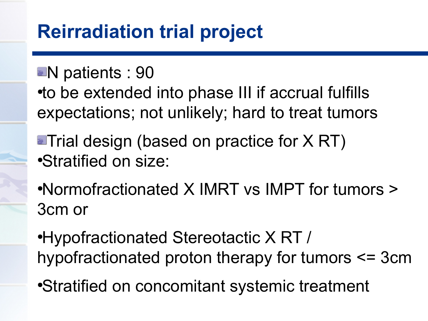### **Reirradiation trial project**

**N** patients : 90

• to be extended into phase III if accrual fulfills expectations; not unlikely; hard to treat tumors

**Trial design (based on practice for X RT)** •Stratified on size:

●Normofractionated X IMRT vs IMPT for tumors > 3cm or

●Hypofractionated Stereotactic X RT / hypofractionated proton therapy for tumors <= 3cm

●Stratified on concomitant systemic treatment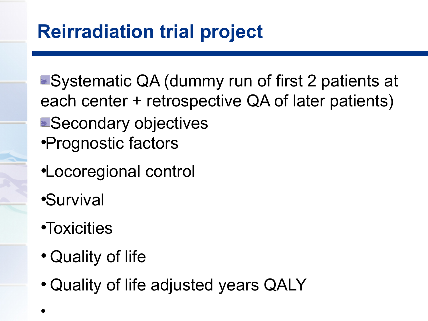**B** Systematic QA (dummy run of first 2 patients at each center + retrospective QA of later patients) **B**Secondary objectives ●Prognostic factors

- ●Locoregional control
- ●Survival
- ●Toxicities
- Quality of life
- Quality of life adjusted years QALY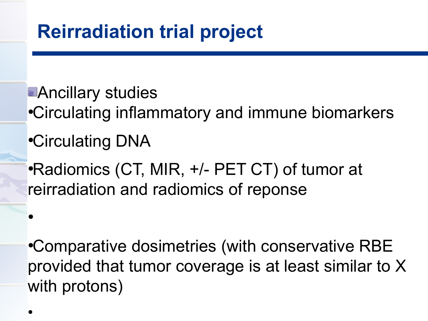**Ancillary studies** ●Circulating inflammatory and immune biomarkers ●Circulating DNA ●Radiomics (CT, MIR, +/- PET CT) of tumor at reirradiation and radiomics of reponse

•Comparative dosimetries (with conservative RBE provided that tumor coverage is at least similar to X with protons)

 $\bullet$